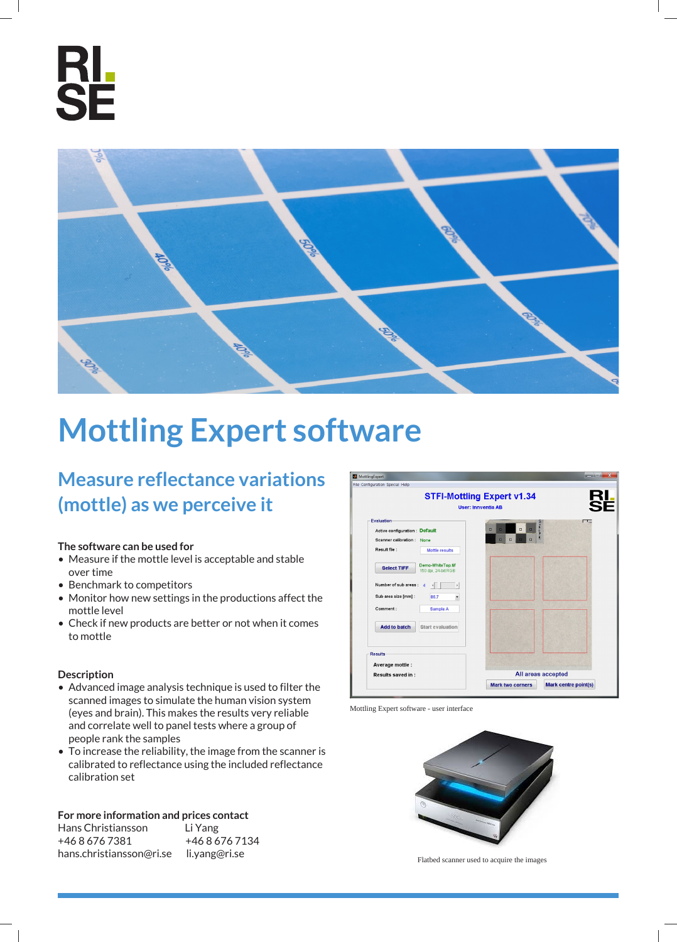



# **Mottling Expert software**

**Measure reflectance variations (mottle) as we perceive it**

#### **The software can be used for**

- Measure if the mottle level is acceptable and stable over time
- Benchmark to competitors
- Monitor how new settings in the productions affect the mottle level
- Check if new products are better or not when it comes to mottle

#### **Description**

- Advanced image analysis technique is used to filter the scanned images to simulate the human vision system (eyes and brain). This makes the results very reliable and correlate well to panel tests where a group of people rank the samples
- To increase the reliability, the image from the scanner is calibrated to reflectance using the included reflectance calibration set

## **For more information and prices contact**

| Hans Christiansson       | Li Yang       |
|--------------------------|---------------|
| +4686767381              | +4686767134   |
| hans.christiansson@ri.se | li.yang@ri.se |

MottlingExpert le Configuration Special Help **RL**<br>SF **STFI-Mottling Expert v1.34** User: Innventia AB Evaluation Active configuration : Default Scanner calibration : None Result file: Mottle results Select TIFF Demo-WhiteTop.tif Number of sub areas : 4  $\sqrt{2}$ Sub area size [mm] : 027 Comment: Add to batch Start evaluation Results Average mottle : All areas accepted Results saved in : Mark two corners Mark centre point(s)

Mottling Expert software - user interface



Flatbed scanner used to acquire the images